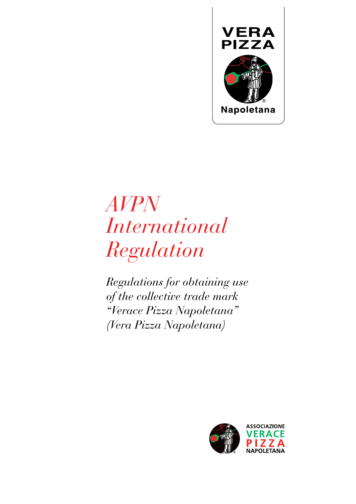

# *AVPN International Regulation*

*Regulations for obtaining use of the collective trade mark "Verace Pizza Napoletana" (Vera Pizza Napoletana)*

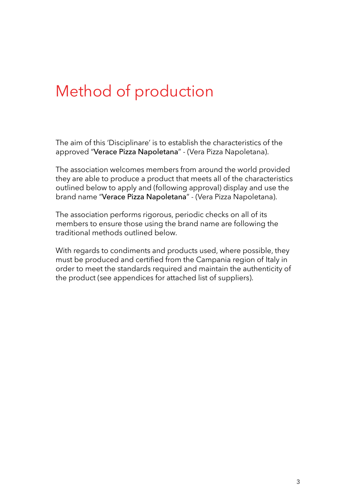### Method of production

The aim of this 'Disciplinare' is to establish the characteristics of the approved "Verace Pizza Napoletana" - (Vera Pizza Napoletana).

The association welcomes members from around the world provided they are able to produce a product that meets all of the characteristics outlined below to apply and (following approval) display and use the brand name "Verace Pizza Napoletana" - (Vera Pizza Napoletana).

The association performs rigorous, periodic checks on all of its members to ensure those using the brand name are following the traditional methods outlined below.

With regards to condiments and products used, where possible, they must be produced and certifed from the Campania region of Italy in order to meet the standards required and maintain the authenticity of the product (see appendices for attached list of suppliers).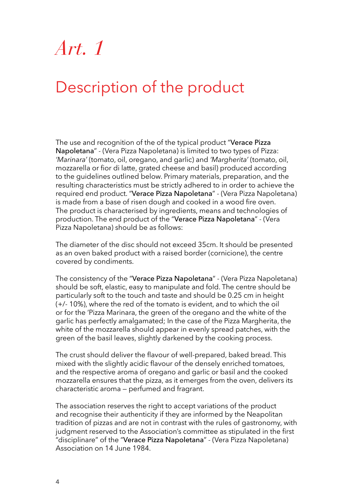### Description of the product

The use and recognition of the of the typical product "Verace Pizza Napoletana" - (Vera Pizza Napoletana) is limited to two types of Pizza: *'Marinara'* (tomato, oil, oregano, and garlic) and *'Margherita'* (tomato, oil, mozzarella or fior di latte, grated cheese and basil) produced according to the guidelines outlined below. Primary materials, preparation, and the resulting characteristics must be strictly adhered to in order to achieve the required end product. "Verace Pizza Napoletana" - (Vera Pizza Napoletana) is made from a base of risen dough and cooked in a wood fire oven. The product is characterised by ingredients, means and technologies of production. The end product of the "Verace Pizza Napoletana" - (Vera Pizza Napoletana) should be as follows:

The diameter of the disc should not exceed 35cm. It should be presented as an oven baked product with a raised border (cornicione), the centre covered by condiments.

The consistency of the "Verace Pizza Napoletana" - (Vera Pizza Napoletana) should be soft, elastic, easy to manipulate and fold. The centre should be particularly soft to the touch and taste and should be 0.25 cm in height (+/- 10%), where the red of the tomato is evident, and to which the oil or for the 'Pizza Marinara, the green of the oregano and the white of the garlic has perfectly amalgamated; In the case of the Pizza Margherita, the white of the mozzarella should appear in evenly spread patches, with the green of the basil leaves, slightly darkened by the cooking process.

The crust should deliver the flavour of well-prepared, baked bread. This mixed with the slightly acidic flavour of the densely enriched tomatoes, and the respective aroma of oregano and garlic or basil and the cooked mozzarella ensures that the pizza, as it emerges from the oven, delivers its characteristic aroma — perfumed and fragrant.

The association reserves the right to accept variations of the product and recognise their authenticity if they are informed by the Neapolitan tradition of pizzas and are not in contrast with the rules of gastronomy, with judgment reserved to the Association's committee as stipulated in the first "disciplinare" of the "Verace Pizza Napoletana" - (Vera Pizza Napoletana) Association on 14 June 1984.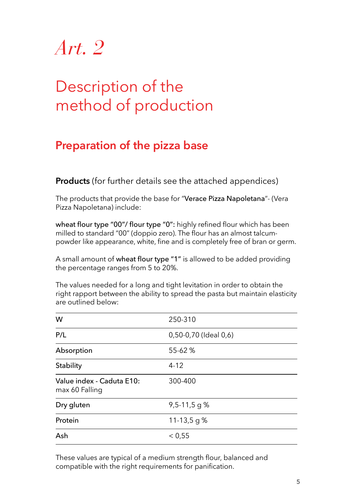### Description of the method of production

### **Preparation of the pizza base**

**Products** (for further details see the attached appendices)

The products that provide the base for "Verace Pizza Napoletana"- (Vera Pizza Napoletana) include:

wheat flour type "00"/ flour type "0": highly refined flour which has been milled to standard "00" (doppio zero). The flour has an almost talcumpowder like appearance, white, fine and is completely free of bran or germ.

A small amount of wheat flour type "1" is allowed to be added providing the percentage ranges from 5 to 20%.

The values needed for a long and tight levitation in order to obtain the right rapport between the ability to spread the pasta but maintain elasticity are outlined below:

| W                                           | 250-310               |
|---------------------------------------------|-----------------------|
| P/L                                         | 0,50-0,70 (Ideal 0,6) |
| Absorption                                  | 55-62 %               |
| Stability                                   | $4 - 12$              |
| Value index - Caduta E10:<br>max 60 Falling | 300-400               |
| Dry gluten                                  | $9,5-11,5$ g %        |
| Protein                                     | 11-13,5 g $%$         |
| Ash                                         | < 0.55                |

These values are typical of a medium strength flour, balanced and compatible with the right requirements for panification.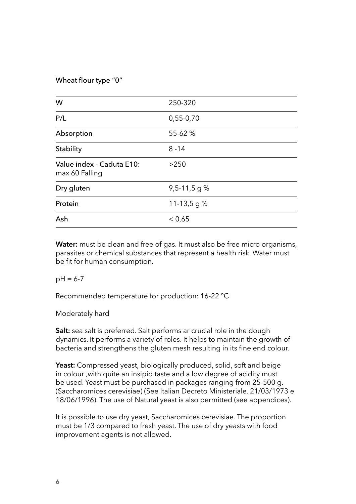#### Wheat flour type "0"

| W                                           | 250-320        |
|---------------------------------------------|----------------|
| P/L                                         | $0,55-0,70$    |
| Absorption                                  | 55-62 %        |
| Stability                                   | $8 - 14$       |
| Value index - Caduta E10:<br>max 60 Falling | >250           |
| Dry gluten                                  | $9,5-11,5$ g % |
| Protein                                     | 11-13,5 g $%$  |
| Ash                                         | < 0.65         |

**Water:** must be clean and free of gas. It must also be free micro organisms, parasites or chemical substances that represent a health risk. Water must be fit for human consumption.

 $pH = 6-7$ 

Recommended temperature for production: 16-22 °C

Moderately hard

**Salt:** sea salt is preferred. Salt performs ar crucial role in the dough dynamics. It performs a variety of roles. It helps to maintain the growth of bacteria and strengthens the gluten mesh resulting in its fine end colour.

**Yeast:** Compressed yeast, biologically produced, solid, soft and beige in colour ,with quite an insipid taste and a low degree of acidity must be used. Yeast must be purchased in packages ranging from 25-500 g. (Saccharomices cerevisiae) (See Italian Decreto Ministeriale. 21/03/1973 e 18/06/1996). The use of Natural yeast is also permitted (see appendices).

It is possible to use dry yeast, Saccharomices cerevisiae. The proportion must be 1/3 compared to fresh yeast. The use of dry yeasts with food improvement agents is not allowed.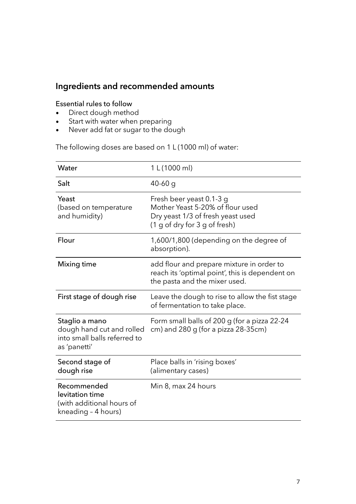### **Ingredients and recommended amounts**

#### Essential rules to follow

- Direct dough method
- Start with water when preparing
- Never add fat or sugar to the dough

The following doses are based on 1 L (1000 ml) of water:

| Water                                                                                       | 1 L (1000 ml)                                                                                                                      |
|---------------------------------------------------------------------------------------------|------------------------------------------------------------------------------------------------------------------------------------|
| Salt                                                                                        | $40-60$ g                                                                                                                          |
| Yeast<br>(based on temperature<br>and humidity)                                             | Fresh beer yeast 0.1-3 g<br>Mother Yeast 5-20% of flour used<br>Dry yeast 1/3 of fresh yeast used<br>(1 g of dry for 3 g of fresh) |
| Flour                                                                                       | 1,600/1,800 (depending on the degree of<br>absorption).                                                                            |
| Mixing time                                                                                 | add flour and prepare mixture in order to<br>reach its 'optimal point', this is dependent on<br>the pasta and the mixer used.      |
| First stage of dough rise                                                                   | Leave the dough to rise to allow the fist stage<br>of fermentation to take place.                                                  |
| Staglio a mano<br>dough hand cut and rolled<br>into small balls referred to<br>as 'panetti' | Form small balls of 200 g (for a pizza 22-24<br>cm) and $280$ g (for a pizza $28-35$ cm)                                           |
| Second stage of<br>dough rise                                                               | Place balls in 'rising boxes'<br>(alimentary cases)                                                                                |
| Recommended<br>levitation time<br>(with additional hours of<br>kneading - 4 hours)          | Min 8, max 24 hours                                                                                                                |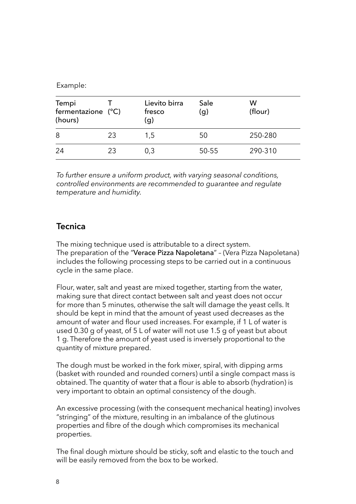Example:

| Tempi<br>fermentazione (°C)<br>(hours) |    | Lievito birra<br>fresco<br>(g) | Sale<br>$\mathbf{(q)}$ | W<br>(flour) |
|----------------------------------------|----|--------------------------------|------------------------|--------------|
| 8                                      | 23 | 1,5                            | 50                     | 250-280      |
| 24                                     | 23 | 0,3                            | 50-55                  | 290-310      |

*To further ensure a uniform product, with varying seasonal conditions, controlled environments are recommended to guarantee and regulate temperature and humidity.*

#### **Tecnica**

The mixing technique used is attributable to a direct system. The preparation of the "Verace Pizza Napoletana" – (Vera Pizza Napoletana) includes the following processing steps to be carried out in a continuous cycle in the same place.

Flour, water, salt and yeast are mixed together, starting from the water, making sure that direct contact between salt and yeast does not occur for more than 5 minutes, otherwise the salt will damage the yeast cells. It should be kept in mind that the amount of yeast used decreases as the amount of water and flour used increases. For example, if 1 L of water is used 0.30 g of yeast, of 5 L of water will not use 1.5 g of yeast but about 1 g. Therefore the amount of yeast used is inversely proportional to the quantity of mixture prepared.

The dough must be worked in the fork mixer, spiral, with dipping arms (basket with rounded and rounded corners) until a single compact mass is obtained. The quantity of water that a flour is able to absorb (hydration) is very important to obtain an optimal consistency of the dough.

An excessive processing (with the consequent mechanical heating) involves "stringing" of the mixture, resulting in an imbalance of the glutinous properties and fibre of the dough which compromises its mechanical properties.

The final dough mixture should be sticky, soft and elastic to the touch and will be easily removed from the box to be worked.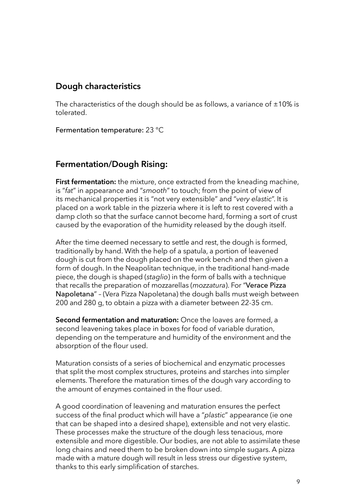### **Dough characteristics**

The characteristics of the dough should be as follows, a variance of  $\pm 10\%$  is tolerated.

Fermentation temperature: 23 °C

### **Fermentation/Dough Rising:**

**First fermentation:** the mixture, once extracted from the kneading machine, is "*fat*" in appearance and "*smooth*" to touch; from the point of view of its mechanical properties it is "not very extensible" and "*very elastic*". It is placed on a work table in the pizzeria where it is left to rest covered with a damp cloth so that the surface cannot become hard, forming a sort of crust caused by the evaporation of the humidity released by the dough itself.

After the time deemed necessary to settle and rest, the dough is formed, traditionally by hand. With the help of a spatula, a portion of leavened dough is cut from the dough placed on the work bench and then given a form of dough. In the Neapolitan technique, in the traditional hand-made piece, the dough is shaped (*staglio*) in the form of balls with a technique that recalls the preparation of mozzarellas (*mozzatura*). For "Verace Pizza Napoletana" – (Vera Pizza Napoletana) the dough balls must weigh between 200 and 280 g, to obtain a pizza with a diameter between 22-35 cm.

**Second fermentation and maturation:** Once the loaves are formed, a second leavening takes place in boxes for food of variable duration, depending on the temperature and humidity of the environment and the absorption of the flour used.

Maturation consists of a series of biochemical and enzymatic processes that split the most complex structures, proteins and starches into simpler elements. Therefore the maturation times of the dough vary according to the amount of enzymes contained in the flour used.

A good coordination of leavening and maturation ensures the perfect success of the final product which will have a "plastic" appearance (ie one that can be shaped into a desired shape), extensible and not very elastic. These processes make the structure of the dough less tenacious, more extensible and more digestible. Our bodies, are not able to assimilate these long chains and need them to be broken down into simple sugars. A pizza made with a mature dough will result in less stress our digestive system, thanks to this early simplification of starches.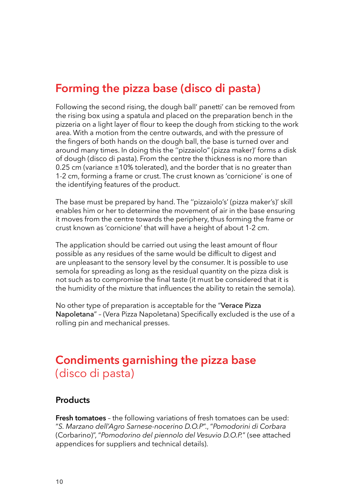### **Forming the pizza base (disco di pasta)**

Following the second rising, the dough ball' panetti' can be removed from the rising box using a spatula and placed on the preparation bench in the pizzeria on a light layer of flour to keep the dough from sticking to the work area. With a motion from the centre outwards, and with the pressure of the fngers of both hands on the dough ball, the base is turned over and around many times. In doing this the ''pizzaiolo" (pizza maker)' forms a disk of dough (disco di pasta). From the centre the thickness is no more than 0.25 cm (variance  $\pm 10\%$  tolerated), and the border that is no greater than 1-2 cm, forming a frame or crust. The crust known as 'cornicione' is one of the identifying features of the product.

The base must be prepared by hand. The ''pizzaiolo's' (pizza maker's)' skill enables him or her to determine the movement of air in the base ensuring it moves from the centre towards the periphery, thus forming the frame or crust known as 'cornicione' that will have a height of about 1-2 cm.

The application should be carried out using the least amount of flour possible as any residues of the same would be difficult to digest and are unpleasant to the sensory level by the consumer. It is possible to use semola for spreading as long as the residual quantity on the pizza disk is not such as to compromise the final taste (it must be considered that it is the humidity of the mixture that infuences the ability to retain the semola).

No other type of preparation is acceptable for the "Verace Pizza Napoletana" - (Vera Pizza Napoletana) Specifically excluded is the use of a rolling pin and mechanical presses.

### **Condiments garnishing the pizza base**  (disco di pasta)

#### **Products**

**Fresh tomatoes** – the following variations of fresh tomatoes can be used: "*S. Marzano dell'Agro Sarnese-nocerino D.O.P*"., "*Pomodorini di Corbara* (Corbarino)", "*Pomodorino del piennolo del Vesuvio D.O.P.*" (see attached appendices for suppliers and technical details).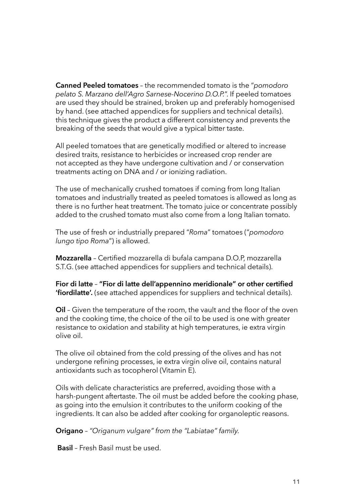**Canned Peeled tomatoes** – the recommended tomato is the "*pomodoro pelato S. Marzano dell'Agro Sarnese-Nocerino D.O.P.*". If peeled tomatoes are used they should be strained, broken up and preferably homogenised by hand. (see attached appendices for suppliers and technical details). this technique gives the product a different consistency and prevents the breaking of the seeds that would give a typical bitter taste.

All peeled tomatoes that are genetically modified or altered to increase desired traits, resistance to herbicides or increased crop render are not accepted as they have undergone cultivation and / or conservation treatments acting on DNA and / or ionizing radiation.

The use of mechanically crushed tomatoes if coming from long Italian tomatoes and industrially treated as peeled tomatoes is allowed as long as there is no further heat treatment. The tomato juice or concentrate possibly added to the crushed tomato must also come from a long Italian tomato.

The use of fresh or industrially prepared "*Roma*" tomatoes ("*pomodoro lungo tipo Roma*") is allowed.

**Mozzarella** – Certifed mozzarella di bufala campana D.O.P, mozzarella S.T.G. (see attached appendices for suppliers and technical details).

**Fior di latte** – **"Fior di latte dell'appennino meridionale" or other certifed 'fordilatte'.** (see attached appendices for suppliers and technical details).

**Oil** - Given the temperature of the room, the vault and the floor of the oven and the cooking time, the choice of the oil to be used is one with greater resistance to oxidation and stability at high temperatures, ie extra virgin olive oil.

The olive oil obtained from the cold pressing of the olives and has not undergone refning processes, ie extra virgin olive oil, contains natural antioxidants such as tocopherol (Vitamin E).

Oils with delicate characteristics are preferred, avoiding those with a harsh-pungent aftertaste. The oil must be added before the cooking phase, as going into the emulsion it contributes to the uniform cooking of the ingredients. It can also be added after cooking for organoleptic reasons.

**Origano** *– "Origanum vulgare" from the "Labiatae" family.*

 **Basil** – Fresh Basil must be used.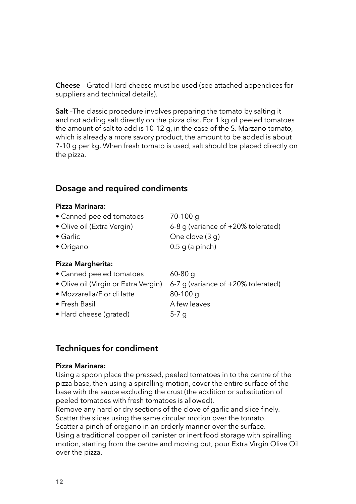**Cheese** – Grated Hard cheese must be used (see attached appendices for suppliers and technical details).

**Salt** –The classic procedure involves preparing the tomato by salting it and not adding salt directly on the pizza disc. For 1 kg of peeled tomatoes the amount of salt to add is 10-12 g, in the case of the S. Marzano tomato, which is already a more savory product, the amount to be added is about 7-10 g per kg. When fresh tomato is used, salt should be placed directly on the pizza.

### **Dosage and required condiments**

### **Pizza Marinara:**

| • Canned peeled tomatoes             | $70-100$ q                         |
|--------------------------------------|------------------------------------|
| • Olive oil (Extra Vergin)           | 6-8 g (variance of +20% tolerated) |
| $\bullet$ Garlic                     | One clove (3 g)                    |
| • Origano                            | $0.5$ g (a pinch)                  |
| Pizza Margherita:                    |                                    |
| • Canned peeled tomatoes             | $60-80$ q                          |
| • Olive oil (Virgin or Extra Vergin) | 6-7 g (variance of +20% tolerated) |
|                                      |                                    |

- Mozzarella/Fior di latte 80-100 g
- Fresh Basil A few leaves
- Hard cheese (grated) 5-7 g

### **Techniques for condiment**

#### **Pizza Marinara:**

Using a spoon place the pressed, peeled tomatoes in to the centre of the pizza base, then using a spiralling motion, cover the entire surface of the base with the sauce excluding the crust (the addition or substitution of peeled tomatoes with fresh tomatoes is allowed).

Remove any hard or dry sections of the clove of garlic and slice finely. Scatter the slices using the same circular motion over the tomato. Scatter a pinch of oregano in an orderly manner over the surface. Using a traditional copper oil canister or inert food storage with spiralling motion, starting from the centre and moving out, pour Extra Virgin Olive Oil over the pizza.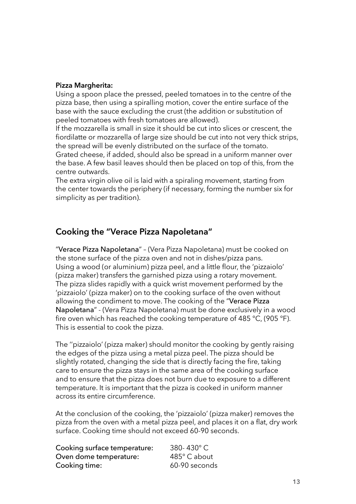#### **Pizza Margherita:**

Using a spoon place the pressed, peeled tomatoes in to the centre of the pizza base, then using a spiralling motion, cover the entire surface of the base with the sauce excluding the crust (the addition or substitution of peeled tomatoes with fresh tomatoes are allowed).

If the mozzarella is small in size it should be cut into slices or crescent, the fordilatte or mozzarella of large size should be cut into not very thick strips, the spread will be evenly distributed on the surface of the tomato. Grated cheese, if added, should also be spread in a uniform manner over the base. A few basil leaves should then be placed on top of this, from the centre outwards.

The extra virgin olive oil is laid with a spiraling movement, starting from the center towards the periphery (if necessary, forming the number six for simplicity as per tradition).

### **Cooking the "Verace Pizza Napoletana"**

"Verace Pizza Napoletana" – (Vera Pizza Napoletana) must be cooked on the stone surface of the pizza oven and not in dishes/pizza pans. Using a wood (or aluminium) pizza peel, and a little flour, the 'pizzaiolo' (pizza maker) transfers the garnished pizza using a rotary movement. The pizza slides rapidly with a quick wrist movement performed by the 'pizzaiolo' (pizza maker) on to the cooking surface of the oven without allowing the condiment to move. The cooking of the "Verace Pizza Napoletana" - (Vera Pizza Napoletana) must be done exclusively in a wood fire oven which has reached the cooking temperature of 485 °C, (905 °F). This is essential to cook the pizza.

The ''pizzaiolo' (pizza maker) should monitor the cooking by gently raising the edges of the pizza using a metal pizza peel. The pizza should be slightly rotated, changing the side that is directly facing the fire, taking care to ensure the pizza stays in the same area of the cooking surface and to ensure that the pizza does not burn due to exposure to a different temperature. It is important that the pizza is cooked in uniform manner across its entire circumference.

At the conclusion of the cooking, the 'pizzaiolo' (pizza maker) removes the pizza from the oven with a metal pizza peel, and places it on a flat, dry work surface. Cooking time should not exceed 60-90 seconds.

| Cooking surface temperature: | 380-430°C     |
|------------------------------|---------------|
| Oven dome temperature:       | 485°C about   |
| Cooking time:                | 60-90 seconds |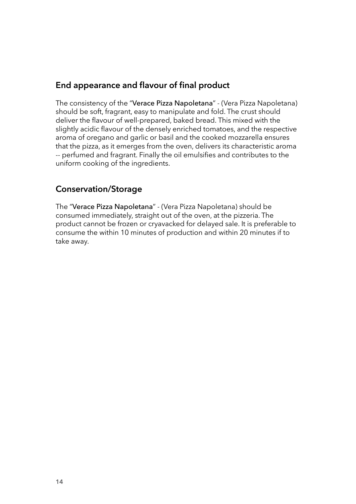### **End appearance and flavour of final product**

The consistency of the "Verace Pizza Napoletana" - (Vera Pizza Napoletana) should be soft, fragrant, easy to manipulate and fold. The crust should deliver the favour of well-prepared, baked bread. This mixed with the slightly acidic flavour of the densely enriched tomatoes, and the respective aroma of oregano and garlic or basil and the cooked mozzarella ensures that the pizza, as it emerges from the oven, delivers its characteristic aroma -- perfumed and fragrant. Finally the oil emulsifes and contributes to the uniform cooking of the ingredients.

### **Conservation/Storage**

The "Verace Pizza Napoletana" - (Vera Pizza Napoletana) should be consumed immediately, straight out of the oven, at the pizzeria. The product cannot be frozen or cryavacked for delayed sale. It is preferable to consume the within 10 minutes of production and within 20 minutes if to take away.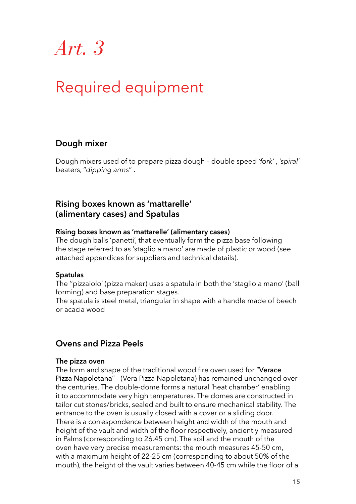### Required equipment

### **Dough mixer**

Dough mixers used of to prepare pizza dough – double speed *'fork'* , *'spiral'*  beaters, "*dipping arms*" .

#### **Rising boxes known as 'mattarelle' (alimentary cases) and Spatulas**

#### **Rising boxes known as 'mattarelle' (alimentary cases)**

The dough balls 'panetti', that eventually form the pizza base following the stage referred to as 'staglio a mano' are made of plastic or wood (see attached appendices for suppliers and technical details).

#### **Spatulas**

The ''pizzaiolo' (pizza maker) uses a spatula in both the 'staglio a mano' (ball forming) and base preparation stages.

The spatula is steel metal, triangular in shape with a handle made of beech or acacia wood

### **Ovens and Pizza Peels**

#### **The pizza oven**

The form and shape of the traditional wood fire oven used for "Verace" Pizza Napoletana" - (Vera Pizza Napoletana) has remained unchanged over the centuries. The double-dome forms a natural 'heat chamber' enabling it to accommodate very high temperatures. The domes are constructed in tailor cut stones/bricks, sealed and built to ensure mechanical stability. The entrance to the oven is usually closed with a cover or a sliding door. There is a correspondence between height and width of the mouth and height of the vault and width of the floor respectively, anciently measured in Palms (corresponding to 26.45 cm). The soil and the mouth of the oven have very precise measurements: the mouth measures 45-50 cm, with a maximum height of 22-25 cm (corresponding to about 50% of the mouth), the height of the vault varies between 40-45 cm while the floor of a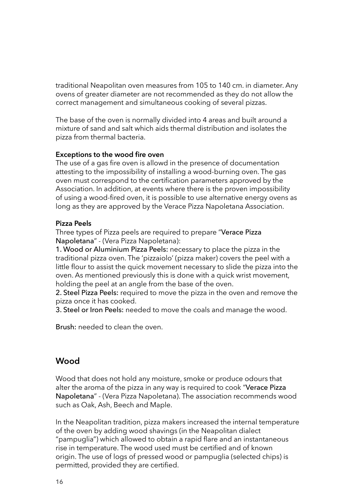traditional Neapolitan oven measures from 105 to 140 cm. in diameter. Any ovens of greater diameter are not recommended as they do not allow the correct management and simultaneous cooking of several pizzas.

The base of the oven is normally divided into 4 areas and built around a mixture of sand and salt which aids thermal distribution and isolates the pizza from thermal bacteria.

#### **Exceptions to the wood fire oven**

The use of a gas fire oven is allowd in the presence of documentation attesting to the impossibility of installing a wood-burning oven. The gas oven must correspond to the certification parameters approved by the Association. In addition, at events where there is the proven impossibility of using a wood-fred oven, it is possible to use alternative energy ovens as long as they are approved by the Verace Pizza Napoletana Association.

#### **Pizza Peels**

Three types of Pizza peels are required to prepare "Verace Pizza Napoletana" - (Vera Pizza Napoletana):

1. Wood or Aluminium Pizza Peels: necessary to place the pizza in the traditional pizza oven. The 'pizzaiolo' (pizza maker) covers the peel with a little flour to assist the quick movement necessary to slide the pizza into the oven. As mentioned previously this is done with a quick wrist movement, holding the peel at an angle from the base of the oven.

2. Steel Pizza Peels: required to move the pizza in the oven and remove the pizza once it has cooked.

3. Steel or Iron Peels: needed to move the coals and manage the wood.

Brush: needed to clean the oven.

### **Wood**

Wood that does not hold any moisture, smoke or produce odours that alter the aroma of the pizza in any way is required to cook "Verace Pizza Napoletana" - (Vera Pizza Napoletana). The association recommends wood such as Oak, Ash, Beech and Maple.

In the Neapolitan tradition, pizza makers increased the internal temperature of the oven by adding wood shavings (in the Neapolitan dialect "pampuglia") which allowed to obtain a rapid flare and an instantaneous rise in temperature. The wood used must be certifed and of known origin. The use of logs of pressed wood or pampuglia (selected chips) is permitted, provided they are certifed.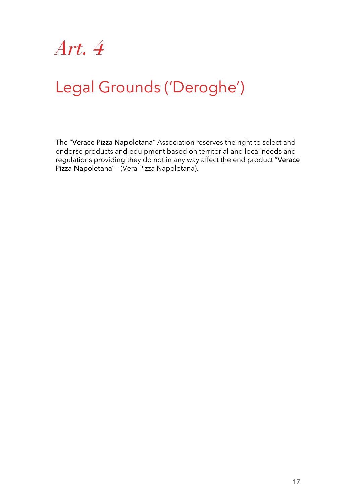

## Legal Grounds ('Deroghe')

The "Verace Pizza Napoletana" Association reserves the right to select and endorse products and equipment based on territorial and local needs and regulations providing they do not in any way affect the end product "Verace Pizza Napoletana" - (Vera Pizza Napoletana).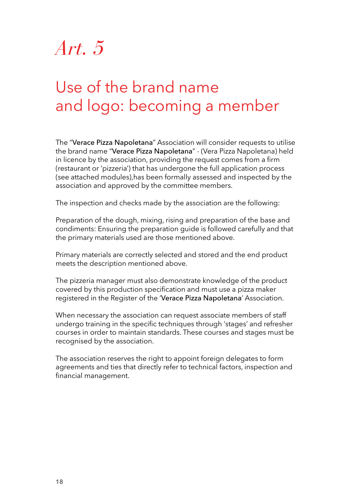## Use of the brand name and logo: becoming a member

The "Verace Pizza Napoletana" Association will consider requests to utilise the brand name "Verace Pizza Napoletana" - (Vera Pizza Napoletana) held in licence by the association, providing the request comes from a frm (restaurant or 'pizzeria') that has undergone the full application process (see attached modules),has been formally assessed and inspected by the association and approved by the committee members.

The inspection and checks made by the association are the following:

Preparation of the dough, mixing, rising and preparation of the base and condiments: Ensuring the preparation guide is followed carefully and that the primary materials used are those mentioned above.

Primary materials are correctly selected and stored and the end product meets the description mentioned above.

The pizzeria manager must also demonstrate knowledge of the product covered by this production specifcation and must use a pizza maker registered in the Register of the 'Verace Pizza Napoletana' Association.

When necessary the association can request associate members of staff undergo training in the specific techniques through 'stages' and refresher courses in order to maintain standards. These courses and stages must be recognised by the association.

The association reserves the right to appoint foreign delegates to form agreements and ties that directly refer to technical factors, inspection and financial management.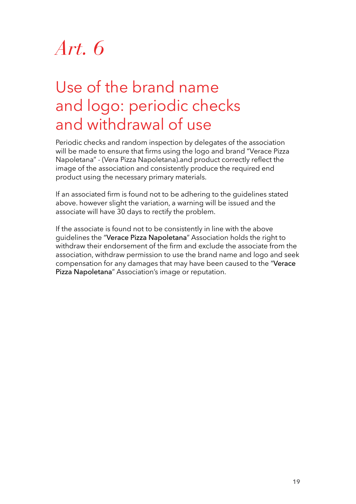### Use of the brand name and logo: periodic checks and withdrawal of use

Periodic checks and random inspection by delegates of the association will be made to ensure that firms using the logo and brand "Verace Pizza Napoletana" - (Vera Pizza Napoletana).and product correctly refect the image of the association and consistently produce the required end product using the necessary primary materials.

If an associated frm is found not to be adhering to the guidelines stated above. however slight the variation, a warning will be issued and the associate will have 30 days to rectify the problem.

If the associate is found not to be consistently in line with the above guidelines the "Verace Pizza Napoletana" Association holds the right to withdraw their endorsement of the frm and exclude the associate from the association, withdraw permission to use the brand name and logo and seek compensation for any damages that may have been caused to the "Verace Pizza Napoletana" Association's image or reputation.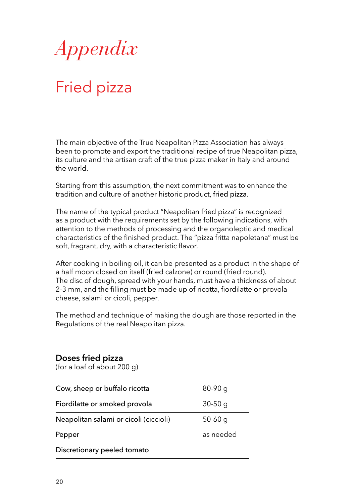

# Fried pizza

The main objective of the True Neapolitan Pizza Association has always been to promote and export the traditional recipe of true Neapolitan pizza, its culture and the artisan craft of the true pizza maker in Italy and around the world.

Starting from this assumption, the next commitment was to enhance the tradition and culture of another historic product, fried pizza.

The name of the typical product "Neapolitan fried pizza" is recognized as a product with the requirements set by the following indications, with attention to the methods of processing and the organoleptic and medical characteristics of the finished product. The "pizza fritta napoletana" must be soft, fragrant, dry, with a characteristic flavor.

After cooking in boiling oil, it can be presented as a product in the shape of a half moon closed on itself (fried calzone) or round (fried round). The disc of dough, spread with your hands, must have a thickness of about 2-3 mm, and the filling must be made up of ricotta, fiordilatte or provola cheese, salami or cicoli, pepper.

The method and technique of making the dough are those reported in the Regulations of the real Neapolitan pizza.

#### **Doses fried pizza**

(for a loaf of about 200 g)

| Cow, sheep or buffalo ricotta          | $80-90q$  |
|----------------------------------------|-----------|
| Fiordilatte or smoked provola          | $30-50$ g |
| Neapolitan salami or cicoli (ciccioli) | $50-60q$  |
| Pepper                                 | as needed |
| Discretionary peeled tomato            |           |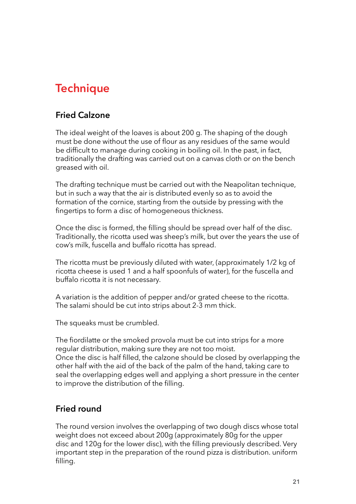### **Technique**

### **Fried Calzone**

The ideal weight of the loaves is about 200 g. The shaping of the dough must be done without the use of flour as any residues of the same would be difficult to manage during cooking in boiling oil. In the past, in fact, traditionally the drafting was carried out on a canvas cloth or on the bench greased with oil.

The drafting technique must be carried out with the Neapolitan technique, but in such a way that the air is distributed evenly so as to avoid the formation of the cornice, starting from the outside by pressing with the fingertips to form a disc of homogeneous thickness.

Once the disc is formed, the flling should be spread over half of the disc. Traditionally, the ricotta used was sheep's milk, but over the years the use of cow's milk, fuscella and buffalo ricotta has spread.

The ricotta must be previously diluted with water, (approximately 1/2 kg of ricotta cheese is used 1 and a half spoonfuls of water), for the fuscella and buffalo ricotta it is not necessary.

A variation is the addition of pepper and/or grated cheese to the ricotta. The salami should be cut into strips about 2-3 mm thick.

The squeaks must be crumbled.

The fiordilatte or the smoked provola must be cut into strips for a more regular distribution, making sure they are not too moist. Once the disc is half flled, the calzone should be closed by overlapping the

other half with the aid of the back of the palm of the hand, taking care to seal the overlapping edges well and applying a short pressure in the center to improve the distribution of the filling.

### **Fried round**

The round version involves the overlapping of two dough discs whose total weight does not exceed about 200g (approximately 80g for the upper disc and 120g for the lower disc), with the flling previously described. Very important step in the preparation of the round pizza is distribution. uniform filling.